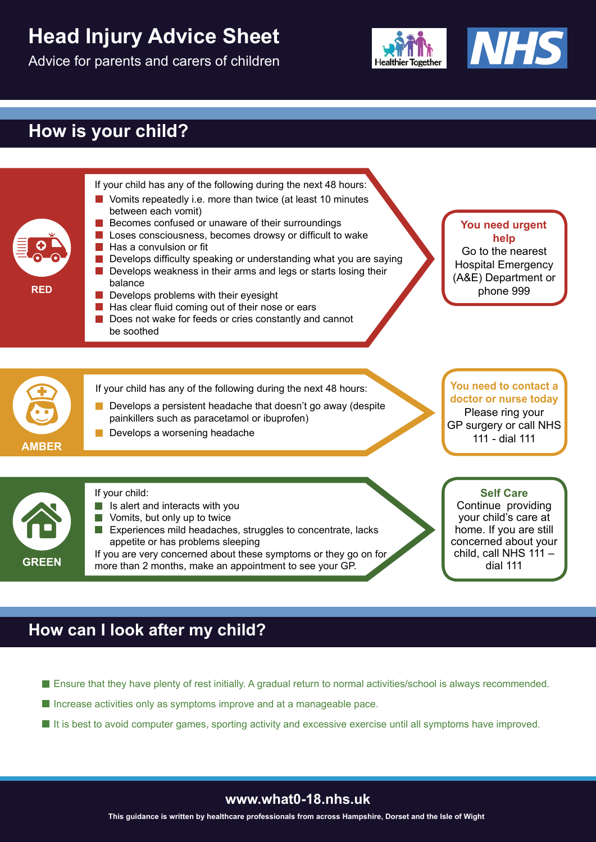# **Head Injury Advice Sheet**

Advice for parents and carers of children



## **How is your child?**



### **How can I look after my child?**

- Ensure that they have plenty of rest initially. A gradual return to normal activities/school is always recommended.
- $\blacksquare$  Increase activities only as symptoms improve and at a manageable pace.
- $\blacksquare$  It is best to avoid computer games, sporting activity and excessive exercise until all symptoms have improved.

#### **www.what0-18.nhs.uk**

**This guidance is written by healthcare professionals from across Hampshire, Dorset and the Isle of Wight**